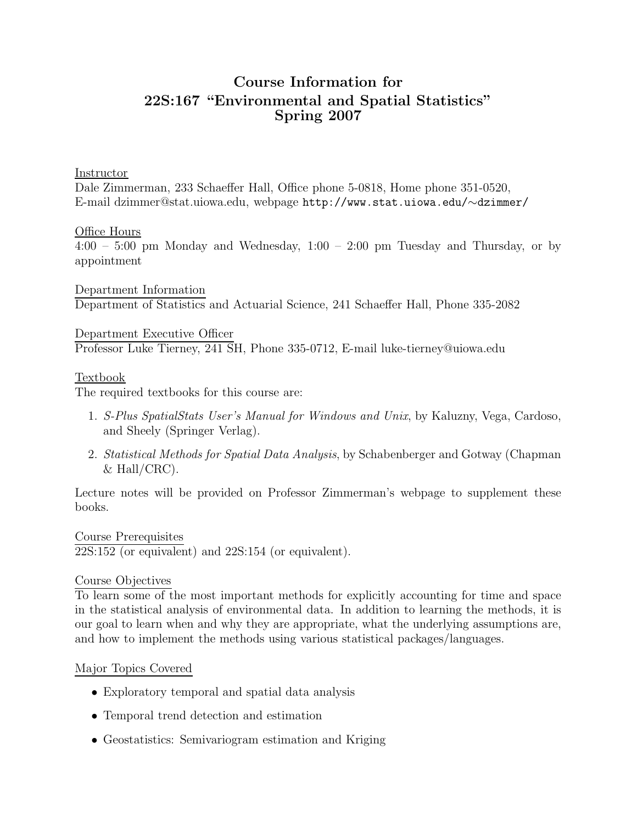# Course Information for 22S:167 "Environmental and Spatial Statistics" Spring 2007

#### Instructor

Dale Zimmerman, 233 Schaeffer Hall, Office phone 5-0818, Home phone 351-0520, E-mail dzimmer@stat.uiowa.edu, webpage http://www.stat.uiowa.edu/∼dzimmer/

#### Office Hours

 $4:00 - 5:00$  pm Monday and Wednesday,  $1:00 - 2:00$  pm Tuesday and Thursday, or by appointment

Department Information Department of Statistics and Actuarial Science, 241 Schaeffer Hall, Phone 335-2082

Department Executive Officer Professor Luke Tierney, 241 SH, Phone 335-0712, E-mail luke-tierney@uiowa.edu

#### Textbook

The required textbooks for this course are:

- 1. S-Plus SpatialStats User's Manual for Windows and Unix, by Kaluzny, Vega, Cardoso, and Sheely (Springer Verlag).
- 2. Statistical Methods for Spatial Data Analysis, by Schabenberger and Gotway (Chapman  $&$  Hall/CRC).

Lecture notes will be provided on Professor Zimmerman's webpage to supplement these books.

Course Prerequisites 22S:152 (or equivalent) and 22S:154 (or equivalent).

#### Course Objectives

To learn some of the most important methods for explicitly accounting for time and space in the statistical analysis of environmental data. In addition to learning the methods, it is our goal to learn when and why they are appropriate, what the underlying assumptions are, and how to implement the methods using various statistical packages/languages.

#### Major Topics Covered

- Exploratory temporal and spatial data analysis
- Temporal trend detection and estimation
- Geostatistics: Semivariogram estimation and Kriging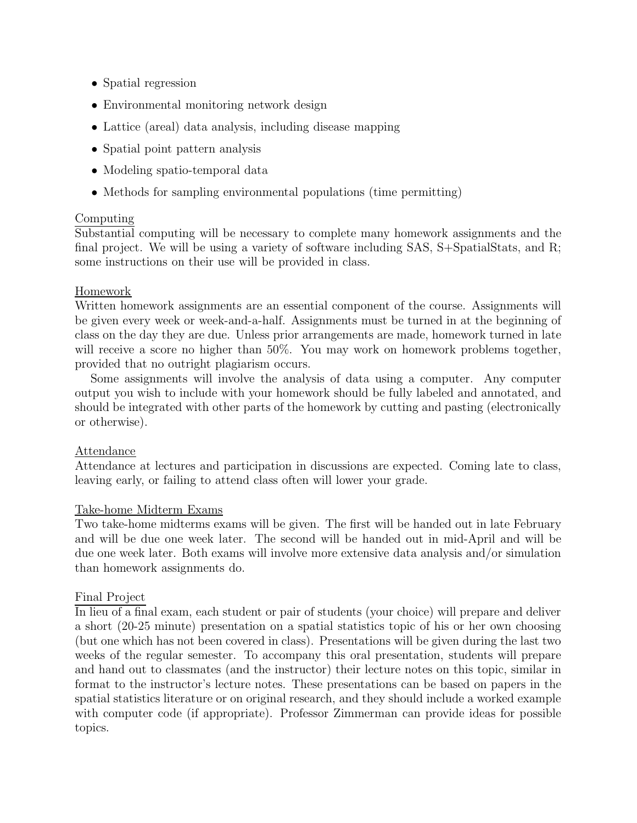- Spatial regression
- Environmental monitoring network design
- Lattice (areal) data analysis, including disease mapping
- Spatial point pattern analysis
- Modeling spatio-temporal data
- Methods for sampling environmental populations (time permitting)

# Computing

Substantial computing will be necessary to complete many homework assignments and the final project. We will be using a variety of software including SAS, S+SpatialStats, and R; some instructions on their use will be provided in class.

## Homework

Written homework assignments are an essential component of the course. Assignments will be given every week or week-and-a-half. Assignments must be turned in at the beginning of class on the day they are due. Unless prior arrangements are made, homework turned in late will receive a score no higher than  $50\%$ . You may work on homework problems together, provided that no outright plagiarism occurs.

Some assignments will involve the analysis of data using a computer. Any computer output you wish to include with your homework should be fully labeled and annotated, and should be integrated with other parts of the homework by cutting and pasting (electronically or otherwise).

## Attendance

Attendance at lectures and participation in discussions are expected. Coming late to class, leaving early, or failing to attend class often will lower your grade.

## Take-home Midterm Exams

Two take-home midterms exams will be given. The first will be handed out in late February and will be due one week later. The second will be handed out in mid-April and will be due one week later. Both exams will involve more extensive data analysis and/or simulation than homework assignments do.

## Final Project

In lieu of a final exam, each student or pair of students (your choice) will prepare and deliver a short (20-25 minute) presentation on a spatial statistics topic of his or her own choosing (but one which has not been covered in class). Presentations will be given during the last two weeks of the regular semester. To accompany this oral presentation, students will prepare and hand out to classmates (and the instructor) their lecture notes on this topic, similar in format to the instructor's lecture notes. These presentations can be based on papers in the spatial statistics literature or on original research, and they should include a worked example with computer code (if appropriate). Professor Zimmerman can provide ideas for possible topics.